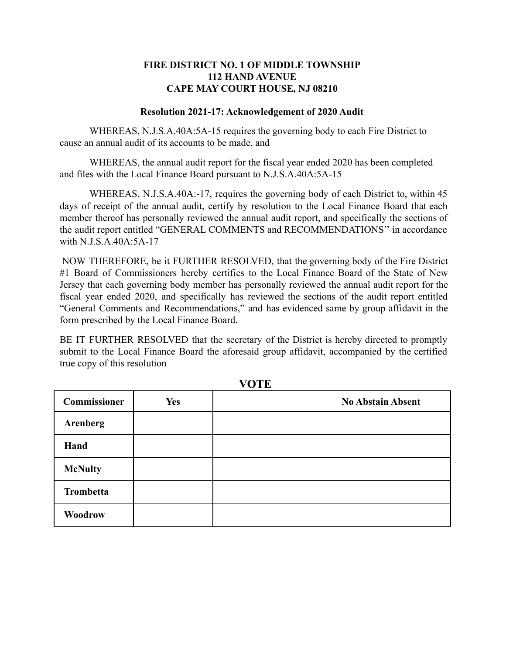## **FIRE DISTRICT NO. 1 OF MIDDLE TOWNSHIP 112 HAND AVENUE CAPE MAY COURT HOUSE, NJ 08210**

## **Resolution 2021-17: Acknowledgement of 2020 Audit**

WHEREAS, N.J.S.A.40A:5A-15 requires the governing body to each Fire District to cause an annual audit of its accounts to be made, and

WHEREAS, the annual audit report for the fiscal year ended 2020 has been completed and files with the Local Finance Board pursuant to N.J.S.A.40A:5A-15

WHEREAS, N.J.S.A.40A:-17, requires the governing body of each District to, within 45 days of receipt of the annual audit, certify by resolution to the Local Finance Board that each member thereof has personally reviewed the annual audit report, and specifically the sections of the audit report entitled "GENERAL COMMENTS and RECOMMENDATIONS'' in accordance with N.J.S.A.40A:5A-17

NOW THEREFORE, be it FURTHER RESOLVED, that the governing body of the Fire District #1 Board of Commissioners hereby certifies to the Local Finance Board of the State of New Jersey that each governing body member has personally reviewed the annual audit report for the fiscal year ended 2020, and specifically has reviewed the sections of the audit report entitled "General Comments and Recommendations," and has evidenced same by group affidavit in the form prescribed by the Local Finance Board.

BE IT FURTHER RESOLVED that the secretary of the District is hereby directed to promptly submit to the Local Finance Board the aforesaid group affidavit, accompanied by the certified true copy of this resolution

| <b>Commissioner</b> | <b>Yes</b> | <b>No Abstain Absent</b> |
|---------------------|------------|--------------------------|
| <b>Arenberg</b>     |            |                          |
| Hand                |            |                          |
| <b>McNulty</b>      |            |                          |
| <b>Trombetta</b>    |            |                          |
| Woodrow             |            |                          |

**VOTE**